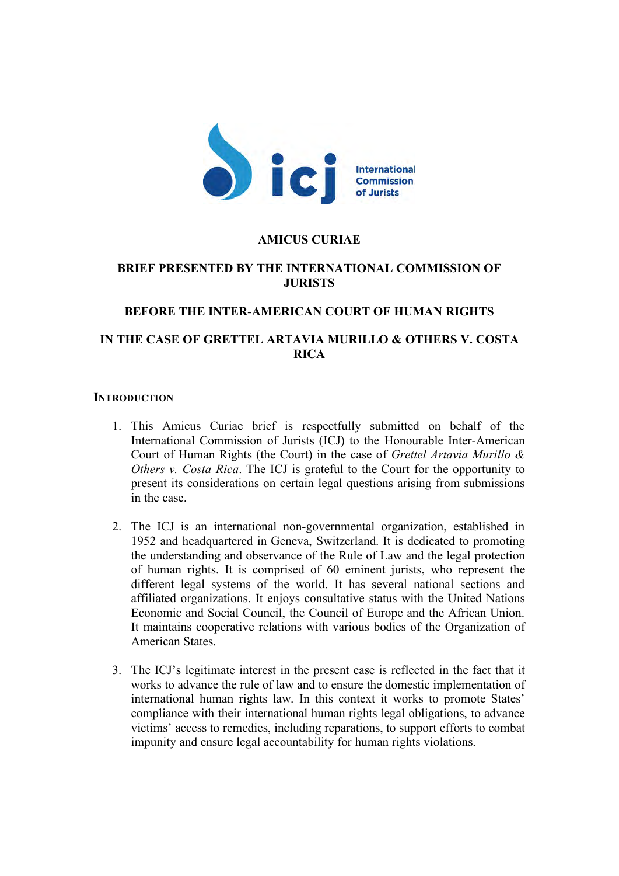

### **AMICUS CURIAE**

# **BRIEF PRESENTED BY THE INTERNATIONAL COMMISSION OF JURISTS**

## **BEFORE THE INTER-AMERICAN COURT OF HUMAN RIGHTS**

# **IN THE CASE OF GRETTEL ARTAVIA MURILLO & OTHERS V. COSTA RICA**

#### **INTRODUCTION**

- 1. This Amicus Curiae brief is respectfully submitted on behalf of the International Commission of Jurists (ICJ) to the Honourable Inter-American Court of Human Rights (the Court) in the case of *Grettel Artavia Murillo & Others v. Costa Rica*. The ICJ is grateful to the Court for the opportunity to present its considerations on certain legal questions arising from submissions in the case.
- 2. The ICJ is an international non-governmental organization, established in 1952 and headquartered in Geneva, Switzerland. It is dedicated to promoting the understanding and observance of the Rule of Law and the legal protection of human rights. It is comprised of 60 eminent jurists, who represent the different legal systems of the world. It has several national sections and affiliated organizations. It enjoys consultative status with the United Nations Economic and Social Council, the Council of Europe and the African Union. It maintains cooperative relations with various bodies of the Organization of American States.
- 3. The ICJ's legitimate interest in the present case is reflected in the fact that it works to advance the rule of law and to ensure the domestic implementation of international human rights law. In this context it works to promote States' compliance with their international human rights legal obligations, to advance victims' access to remedies, including reparations, to support efforts to combat impunity and ensure legal accountability for human rights violations.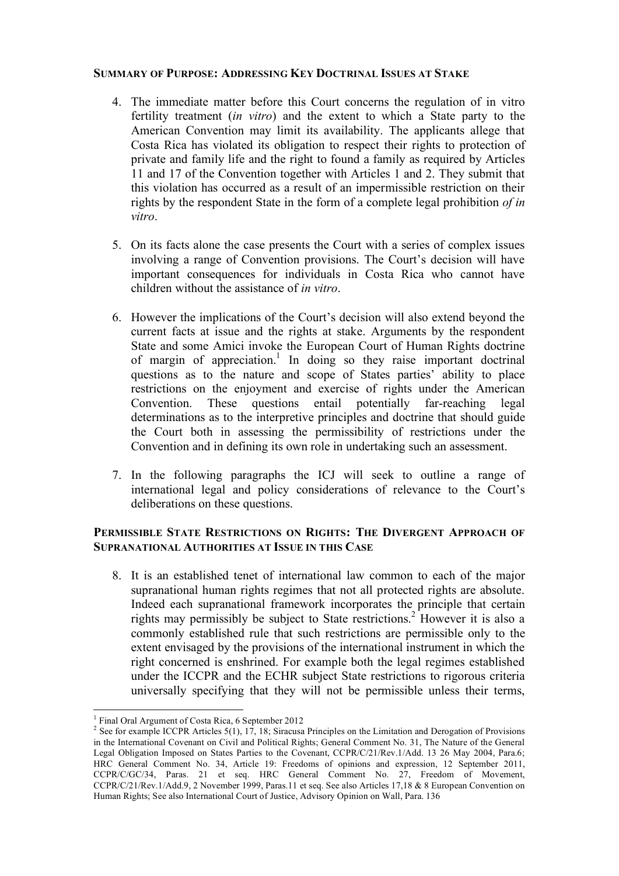#### **SUMMARY OF PURPOSE: ADDRESSING KEY DOCTRINAL ISSUES AT STAKE**

- 4. The immediate matter before this Court concerns the regulation of in vitro fertility treatment (*in vitro*) and the extent to which a State party to the American Convention may limit its availability. The applicants allege that Costa Rica has violated its obligation to respect their rights to protection of private and family life and the right to found a family as required by Articles 11 and 17 of the Convention together with Articles 1 and 2. They submit that this violation has occurred as a result of an impermissible restriction on their rights by the respondent State in the form of a complete legal prohibition *of in vitro*.
- 5. On its facts alone the case presents the Court with a series of complex issues involving a range of Convention provisions. The Court's decision will have important consequences for individuals in Costa Rica who cannot have children without the assistance of *in vitro*.
- 6. However the implications of the Court's decision will also extend beyond the current facts at issue and the rights at stake. Arguments by the respondent State and some Amici invoke the European Court of Human Rights doctrine of margin of appreciation.<sup>1</sup> In doing so they raise important doctrinal questions as to the nature and scope of States parties' ability to place restrictions on the enjoyment and exercise of rights under the American Convention. These questions entail potentially far-reaching legal determinations as to the interpretive principles and doctrine that should guide the Court both in assessing the permissibility of restrictions under the Convention and in defining its own role in undertaking such an assessment.
- 7. In the following paragraphs the ICJ will seek to outline a range of international legal and policy considerations of relevance to the Court's deliberations on these questions.

# **PERMISSIBLE STATE RESTRICTIONS ON RIGHTS: THE DIVERGENT APPROACH OF SUPRANATIONAL AUTHORITIES AT ISSUE IN THIS CASE**

8. It is an established tenet of international law common to each of the major supranational human rights regimes that not all protected rights are absolute. Indeed each supranational framework incorporates the principle that certain rights may permissibly be subject to State restrictions.<sup>2</sup> However it is also a commonly established rule that such restrictions are permissible only to the extent envisaged by the provisions of the international instrument in which the right concerned is enshrined. For example both the legal regimes established under the ICCPR and the ECHR subject State restrictions to rigorous criteria universally specifying that they will not be permissible unless their terms,

I Final Oral Argument of Costa Rica, 6 September 2012

<sup>&</sup>lt;sup>2</sup> See for example ICCPR Articles 5(1), 17, 18; Siracusa Principles on the Limitation and Derogation of Provisions in the International Covenant on Civil and Political Rights; General Comment No. 31, The Nature of the General Legal Obligation Imposed on States Parties to the Covenant, CCPR/C/21/Rev.1/Add. 13 26 May 2004, Para.6; HRC General Comment No. 34, Article 19: Freedoms of opinions and expression, 12 September 2011, CCPR/C/GC/34, Paras. 21 et seq. HRC General Comment No. 27, Freedom of Movement, CCPR/C/21/Rev.1/Add.9, 2 November 1999, Paras.11 et seq. See also Articles 17,18 & 8 European Convention on Human Rights; See also International Court of Justice, Advisory Opinion on Wall, Para. 136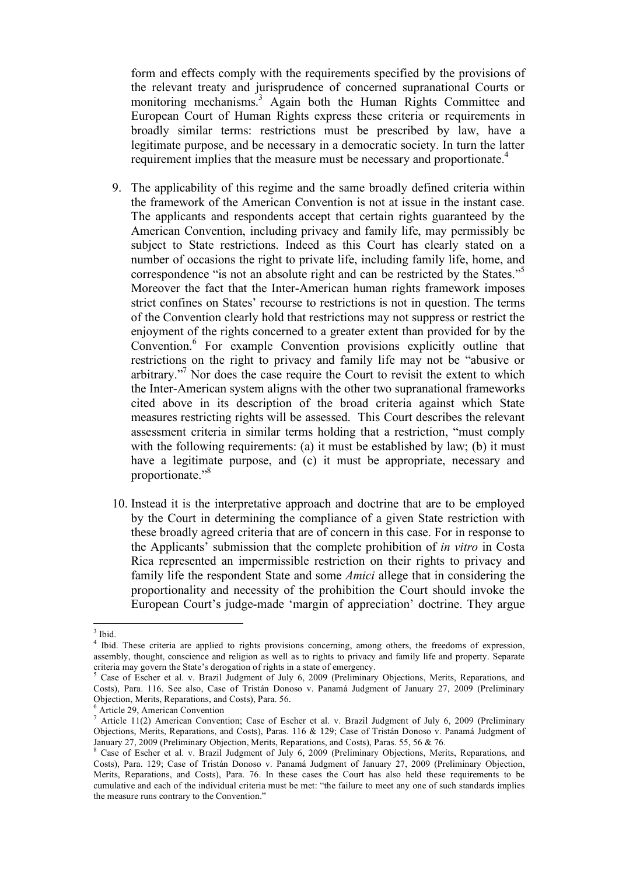form and effects comply with the requirements specified by the provisions of the relevant treaty and jurisprudence of concerned supranational Courts or monitoring mechanisms.<sup>3</sup> Again both the Human Rights Committee and European Court of Human Rights express these criteria or requirements in broadly similar terms: restrictions must be prescribed by law, have a legitimate purpose, and be necessary in a democratic society. In turn the latter requirement implies that the measure must be necessary and proportionate.<sup>4</sup>

- 9. The applicability of this regime and the same broadly defined criteria within the framework of the American Convention is not at issue in the instant case. The applicants and respondents accept that certain rights guaranteed by the American Convention, including privacy and family life, may permissibly be subject to State restrictions. Indeed as this Court has clearly stated on a number of occasions the right to private life, including family life, home, and correspondence "is not an absolute right and can be restricted by the States."5 Moreover the fact that the Inter-American human rights framework imposes strict confines on States' recourse to restrictions is not in question. The terms of the Convention clearly hold that restrictions may not suppress or restrict the enjoyment of the rights concerned to a greater extent than provided for by the Convention.<sup>6</sup> For example Convention provisions explicitly outline that restrictions on the right to privacy and family life may not be "abusive or arbitrary."<sup>7</sup> Nor does the case require the Court to revisit the extent to which the Inter-American system aligns with the other two supranational frameworks cited above in its description of the broad criteria against which State measures restricting rights will be assessed. This Court describes the relevant assessment criteria in similar terms holding that a restriction, "must comply with the following requirements: (a) it must be established by law; (b) it must have a legitimate purpose, and (c) it must be appropriate, necessary and proportionate."8
- 10. Instead it is the interpretative approach and doctrine that are to be employed by the Court in determining the compliance of a given State restriction with these broadly agreed criteria that are of concern in this case. For in response to the Applicants' submission that the complete prohibition of *in vitro* in Costa Rica represented an impermissible restriction on their rights to privacy and family life the respondent State and some *Amici* allege that in considering the proportionality and necessity of the prohibition the Court should invoke the European Court's judge-made 'margin of appreciation' doctrine. They argue

 $\frac{1}{3}$  Ibid  $3$  Ihid.

<sup>&</sup>lt;sup>4</sup> Ibid. These criteria are applied to rights provisions concerning, among others, the freedoms of expression, assembly, thought, conscience and religion as well as to rights to privacy and family life and property. Separate criteria may govern the State's derogation of rights in a state of emergency.<br>
<sup>5</sup> Cease of Easher at al. y. Prazil, Indemant of July 6, 2000. (Praliminary

Case of Escher et al. v. Brazil Judgment of July 6, 2009 (Preliminary Objections, Merits, Reparations, and Costs), Para. 116. See also, Case of Tristán Donoso v. Panamá Judgment of January 27, 2009 (Preliminary Objection, Merits, Reparations, and Costs), Para. 56.

<sup>&</sup>lt;sup>6</sup> Article 29, American Convention<br><sup>7</sup> Article 11(2) American Convention; Case of Escher et al. v. Brazil Judgment of July 6, 2009 (Preliminary Objections, Merits, Reparations, and Costs), Paras. 116 & 129; Case of Tristán Donoso v. Panamá Judgment of January 27, 2009 (Preliminary Objection, Merits, Reparations, and Costs), Paras. 55, 56 & 76.

<sup>8</sup> Case of Escher et al. v. Brazil Judgment of July 6, 2009 (Preliminary Objections, Merits, Reparations, and Costs), Para. 129; Case of Tristán Donoso v. Panamá Judgment of January 27, 2009 (Preliminary Objection, Merits, Reparations, and Costs), Para. 76. In these cases the Court has also held these requirements to be cumulative and each of the individual criteria must be met: "the failure to meet any one of such standards implies the measure runs contrary to the Convention."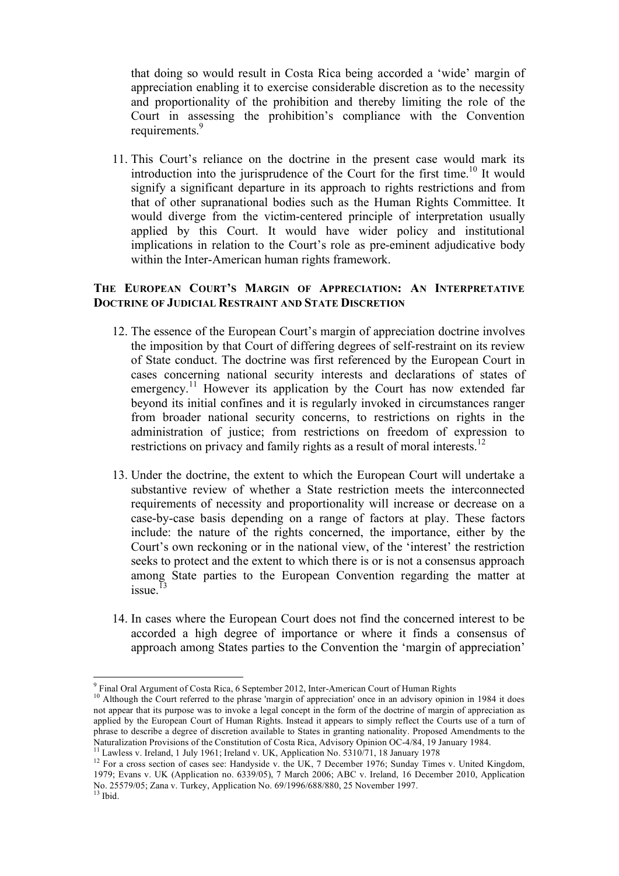that doing so would result in Costa Rica being accorded a 'wide' margin of appreciation enabling it to exercise considerable discretion as to the necessity and proportionality of the prohibition and thereby limiting the role of the Court in assessing the prohibition's compliance with the Convention requirements.<sup>9</sup>

11. This Court's reliance on the doctrine in the present case would mark its introduction into the jurisprudence of the Court for the first time.<sup>10</sup> It would signify a significant departure in its approach to rights restrictions and from that of other supranational bodies such as the Human Rights Committee. It would diverge from the victim-centered principle of interpretation usually applied by this Court. It would have wider policy and institutional implications in relation to the Court's role as pre-eminent adjudicative body within the Inter-American human rights framework.

### **THE EUROPEAN COURT'S MARGIN OF APPRECIATION: AN INTERPRETATIVE DOCTRINE OF JUDICIAL RESTRAINT AND STATE DISCRETION**

- 12. The essence of the European Court's margin of appreciation doctrine involves the imposition by that Court of differing degrees of self-restraint on its review of State conduct. The doctrine was first referenced by the European Court in cases concerning national security interests and declarations of states of emergency.<sup>11</sup> However its application by the Court has now extended far beyond its initial confines and it is regularly invoked in circumstances ranger from broader national security concerns, to restrictions on rights in the administration of justice; from restrictions on freedom of expression to restrictions on privacy and family rights as a result of moral interests.<sup>12</sup>
- 13. Under the doctrine, the extent to which the European Court will undertake a substantive review of whether a State restriction meets the interconnected requirements of necessity and proportionality will increase or decrease on a case-by-case basis depending on a range of factors at play. These factors include: the nature of the rights concerned, the importance, either by the Court's own reckoning or in the national view, of the 'interest' the restriction seeks to protect and the extent to which there is or is not a consensus approach among State parties to the European Convention regarding the matter at issue. $13$
- 14. In cases where the European Court does not find the concerned interest to be accorded a high degree of importance or where it finds a consensus of approach among States parties to the Convention the 'margin of appreciation'

<sup>&</sup>lt;sup>9</sup> Final Oral Argument of Costa Rica, 6 September 2012, Inter-American Court of Human Rights

<sup>&</sup>lt;sup>10</sup> Although the Court referred to the phrase 'margin of appreciation' once in an advisory opinion in 1984 it does not appear that its purpose was to invoke a legal concept in the form of the doctrine of margin of appreciation as applied by the European Court of Human Rights. Instead it appears to simply reflect the Courts use of a turn of phrase to describe a degree of discretion available to States in granting nationality. Proposed Amendments to the Naturalization Provisions of the Constitution of Costa Rica, Advisory Opinion OC-4/84, 19 January 1984.<br><sup>11</sup> Lawless v. Ireland, 1 July 1961; Ireland v. UK, Application No. 5310/71, 18 January 1978

<sup>&</sup>lt;sup>12</sup> For a cross section of cases see: Handyside v. the UK, 7 December 1976; Sunday Times v. United Kingdom, 1979; Evans v. UK (Application no. 6339/05), 7 March 2006; ABC v. Ireland, 16 December 2010, Application No. 25579/05; Zana v. Turkey, Application No. 69/1996/688/880, 25 November 1997.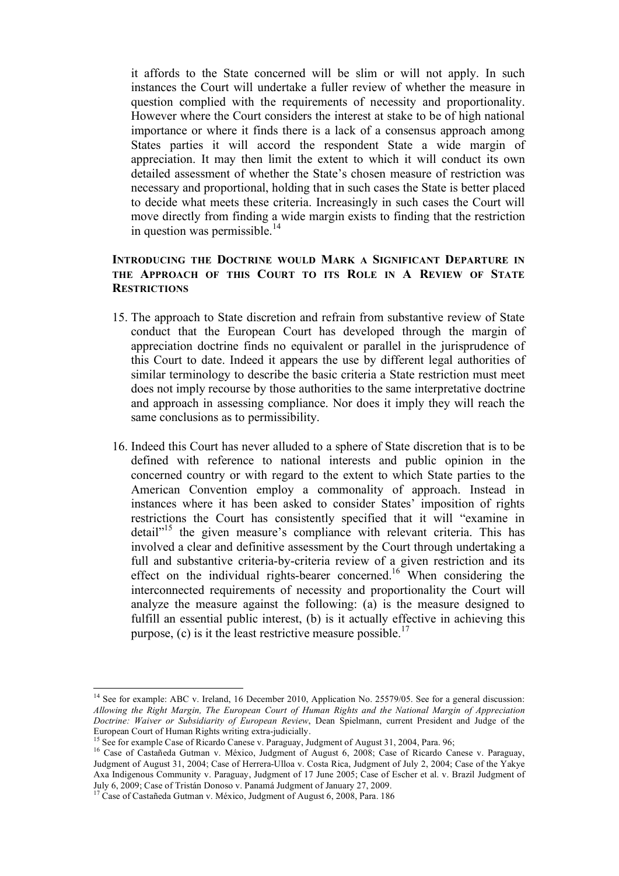it affords to the State concerned will be slim or will not apply. In such instances the Court will undertake a fuller review of whether the measure in question complied with the requirements of necessity and proportionality. However where the Court considers the interest at stake to be of high national importance or where it finds there is a lack of a consensus approach among States parties it will accord the respondent State a wide margin of appreciation. It may then limit the extent to which it will conduct its own detailed assessment of whether the State's chosen measure of restriction was necessary and proportional, holding that in such cases the State is better placed to decide what meets these criteria. Increasingly in such cases the Court will move directly from finding a wide margin exists to finding that the restriction in question was permissible. $14$ 

## **INTRODUCING THE DOCTRINE WOULD MARK A SIGNIFICANT DEPARTURE IN THE APPROACH OF THIS COURT TO ITS ROLE IN A REVIEW OF STATE RESTRICTIONS**

- 15. The approach to State discretion and refrain from substantive review of State conduct that the European Court has developed through the margin of appreciation doctrine finds no equivalent or parallel in the jurisprudence of this Court to date. Indeed it appears the use by different legal authorities of similar terminology to describe the basic criteria a State restriction must meet does not imply recourse by those authorities to the same interpretative doctrine and approach in assessing compliance. Nor does it imply they will reach the same conclusions as to permissibility.
- 16. Indeed this Court has never alluded to a sphere of State discretion that is to be defined with reference to national interests and public opinion in the concerned country or with regard to the extent to which State parties to the American Convention employ a commonality of approach. Instead in instances where it has been asked to consider States' imposition of rights restrictions the Court has consistently specified that it will "examine in detail<sup>"15</sup> the given measure's compliance with relevant criteria. This has involved a clear and definitive assessment by the Court through undertaking a full and substantive criteria-by-criteria review of a given restriction and its effect on the individual rights-bearer concerned.<sup>16</sup> When considering the interconnected requirements of necessity and proportionality the Court will analyze the measure against the following: (a) is the measure designed to fulfill an essential public interest, (b) is it actually effective in achieving this purpose, (c) is it the least restrictive measure possible.<sup>17</sup>

<sup>&</sup>lt;sup>14</sup> See for example: ABC v. Ireland, 16 December 2010, Application No. 25579/05. See for a general discussion: *Allowing the Right Margin, The European Court of Human Rights and the National Margin of Appreciation Doctrine: Waiver or Subsidiarity of European Review*, Dean Spielmann, current President and Judge of the European Court of Human Rights writing extra-judicially.

See for example Case of Ricardo Canese v. Paraguay, Judgment of August 31, 2004, Para. 96;

<sup>16</sup> Case of Castañeda Gutman v. México, Judgment of August 6, 2008; Case of Ricardo Canese v. Paraguay, Judgment of August 31, 2004; Case of Herrera-Ulloa v. Costa Rica, Judgment of July 2, 2004; Case of the Yakye Axa Indigenous Community v. Paraguay, Judgment of 17 June 2005; Case of Escher et al. v. Brazil Judgment of July 6, 2009; Case of Tristán Donoso v. Panamá Judgment of January 27, 2009. 17 Case of Castañeda Gutman v. México, Judgment of August 6, 2008, Para. 186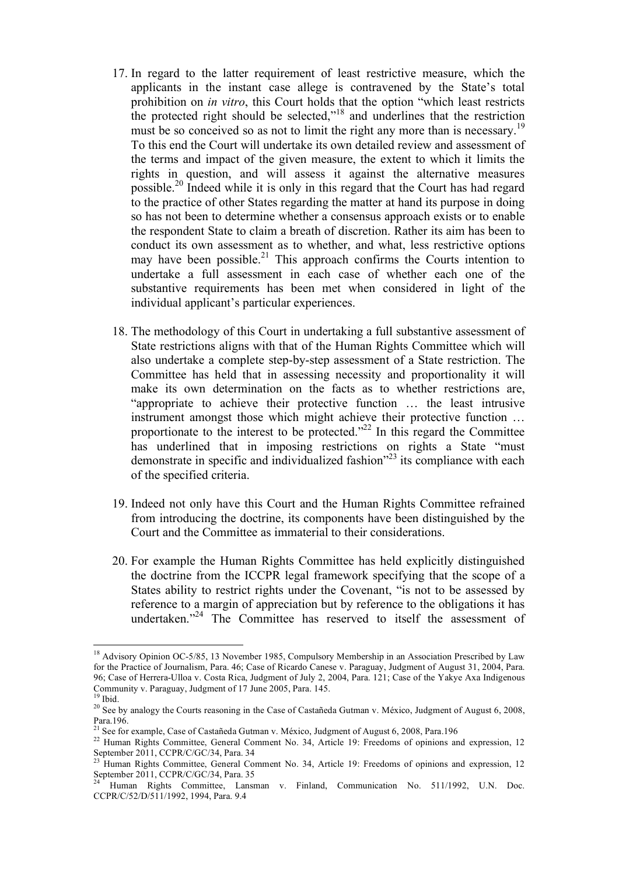- 17. In regard to the latter requirement of least restrictive measure, which the applicants in the instant case allege is contravened by the State's total prohibition on *in vitro*, this Court holds that the option "which least restricts the protected right should be selected,"18 and underlines that the restriction must be so conceived so as not to limit the right any more than is necessary.<sup>19</sup> To this end the Court will undertake its own detailed review and assessment of the terms and impact of the given measure, the extent to which it limits the rights in question, and will assess it against the alternative measures possible.20 Indeed while it is only in this regard that the Court has had regard to the practice of other States regarding the matter at hand its purpose in doing so has not been to determine whether a consensus approach exists or to enable the respondent State to claim a breath of discretion. Rather its aim has been to conduct its own assessment as to whether, and what, less restrictive options may have been possible.<sup>21</sup> This approach confirms the Courts intention to undertake a full assessment in each case of whether each one of the substantive requirements has been met when considered in light of the individual applicant's particular experiences.
- 18. The methodology of this Court in undertaking a full substantive assessment of State restrictions aligns with that of the Human Rights Committee which will also undertake a complete step-by-step assessment of a State restriction. The Committee has held that in assessing necessity and proportionality it will make its own determination on the facts as to whether restrictions are, "appropriate to achieve their protective function … the least intrusive instrument amongst those which might achieve their protective function … proportionate to the interest to be protected. $^{222}$  In this regard the Committee has underlined that in imposing restrictions on rights a State "must" demonstrate in specific and individualized fashion<sup>223</sup> its compliance with each of the specified criteria.
- 19. Indeed not only have this Court and the Human Rights Committee refrained from introducing the doctrine, its components have been distinguished by the Court and the Committee as immaterial to their considerations.
- 20. For example the Human Rights Committee has held explicitly distinguished the doctrine from the ICCPR legal framework specifying that the scope of a States ability to restrict rights under the Covenant, "is not to be assessed by reference to a margin of appreciation but by reference to the obligations it has undertaken."<sup>24</sup> The Committee has reserved to itself the assessment of

<sup>&</sup>lt;sup>18</sup> Advisory Opinion OC-5/85, 13 November 1985, Compulsory Membership in an Association Prescribed by Law for the Practice of Journalism, Para. 46; Case of Ricardo Canese v. Paraguay, Judgment of August 31, 2004, Para. 96; Case of Herrera-Ulloa v. Costa Rica, Judgment of July 2, 2004, Para. 121; Case of the Yakye Axa Indigenous Community v. Paraguay, Judgment of 17 June 2005, Para. 145. 19 Ibid.

<sup>&</sup>lt;sup>20</sup> See by analogy the Courts reasoning in the Case of Castañeda Gutman v. México, Judgment of August 6, 2008, Para.196.

<sup>&</sup>lt;sup>21</sup> See for example, Case of Castañeda Gutman v. México, Judgment of August 6, 2008, Para.196

<sup>&</sup>lt;sup>22</sup> Human Rights Committee, General Comment No. 34, Article 19: Freedoms of opinions and expression, 12 September 2011, CCPR/C/GC/34, Para. 34

<sup>&</sup>lt;sup>23</sup> Human Rights Committee, General Comment No. 34, Article 19: Freedoms of opinions and expression, 12 September 2011, CCPR/C/GC/34, Para. 35

<sup>24</sup> Human Rights Committee, Lansman v. Finland, Communication No. 511/1992, U.N. Doc. CCPR/C/52/D/511/1992, 1994, Para. 9.4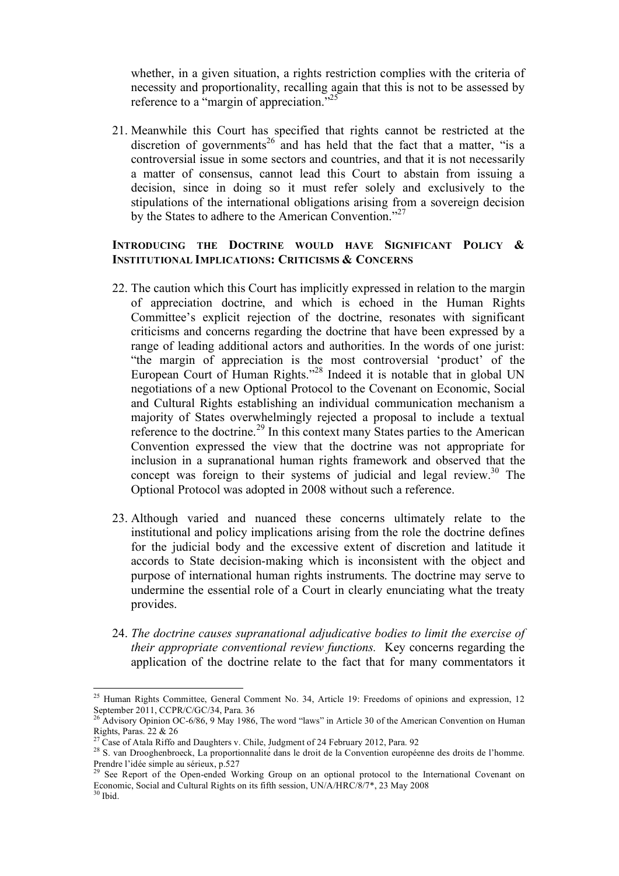whether, in a given situation, a rights restriction complies with the criteria of necessity and proportionality, recalling again that this is not to be assessed by reference to a "margin of appreciation."<sup>25</sup>

21. Meanwhile this Court has specified that rights cannot be restricted at the discretion of governments<sup>26</sup> and has held that the fact that a matter, "is a controversial issue in some sectors and countries, and that it is not necessarily a matter of consensus, cannot lead this Court to abstain from issuing a decision, since in doing so it must refer solely and exclusively to the stipulations of the international obligations arising from a sovereign decision by the States to adhere to the American Convention."<sup>27</sup>

#### **INTRODUCING THE DOCTRINE WOULD HAVE SIGNIFICANT POLICY & INSTITUTIONAL IMPLICATIONS: CRITICISMS & CONCERNS**

- 22. The caution which this Court has implicitly expressed in relation to the margin of appreciation doctrine, and which is echoed in the Human Rights Committee's explicit rejection of the doctrine, resonates with significant criticisms and concerns regarding the doctrine that have been expressed by a range of leading additional actors and authorities. In the words of one jurist: "the margin of appreciation is the most controversial 'product' of the European Court of Human Rights."<sup>28</sup> Indeed it is notable that in global UN negotiations of a new Optional Protocol to the Covenant on Economic, Social and Cultural Rights establishing an individual communication mechanism a majority of States overwhelmingly rejected a proposal to include a textual reference to the doctrine.<sup>29</sup> In this context many States parties to the American Convention expressed the view that the doctrine was not appropriate for inclusion in a supranational human rights framework and observed that the concept was foreign to their systems of judicial and legal review.<sup>30</sup> The Optional Protocol was adopted in 2008 without such a reference.
- 23. Although varied and nuanced these concerns ultimately relate to the institutional and policy implications arising from the role the doctrine defines for the judicial body and the excessive extent of discretion and latitude it accords to State decision-making which is inconsistent with the object and purpose of international human rights instruments. The doctrine may serve to undermine the essential role of a Court in clearly enunciating what the treaty provides.
- 24. *The doctrine causes supranational adjudicative bodies to limit the exercise of their appropriate conventional review functions.* Key concerns regarding the application of the doctrine relate to the fact that for many commentators it

<sup>&</sup>lt;sup>25</sup> Human Rights Committee, General Comment No. 34, Article 19: Freedoms of opinions and expression, 12 September 2011, CCPR/C/GC/34, Para. 36<br><sup>26</sup> Advisory Opinion OC-6/86, 9 May 1986, The word "laws" in Article 30 of the American Convention on Human

Rights, Paras. 22 & 26

<sup>27</sup> Case of Atala Riffo and Daughters v. Chile, Judgment of 24 February 2012, Para. 92

<sup>&</sup>lt;sup>28</sup> S. van Drooghenbroeck, La proportionnalité dans le droit de la Convention européenne des droits de l'homme. Prendre l'idée simple au sérieux, p.527

<sup>&</sup>lt;sup>29</sup> See Report of the Open-ended Working Group on an optional protocol to the International Covenant on Economic, Social and Cultural Rights on its fifth session, UN/A/HRC/8/7\*, 23 May 2008 30 Ibid.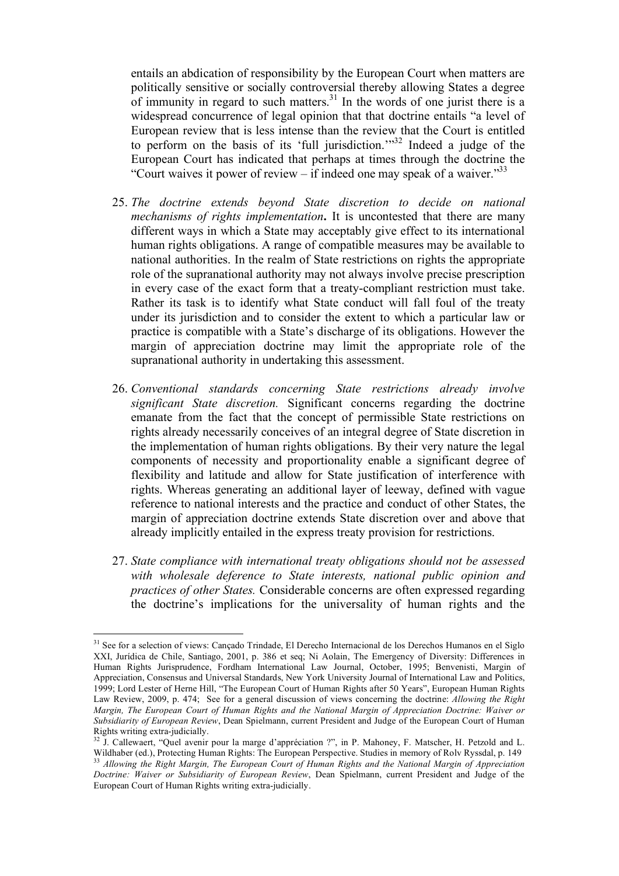entails an abdication of responsibility by the European Court when matters are politically sensitive or socially controversial thereby allowing States a degree of immunity in regard to such matters. $31$  In the words of one jurist there is a widespread concurrence of legal opinion that that doctrine entails "a level of European review that is less intense than the review that the Court is entitled to perform on the basis of its 'full jurisdiction.'"<sup>32</sup> Indeed a judge of the European Court has indicated that perhaps at times through the doctrine the "Court waives it power of review – if indeed one may speak of a waiver."<sup>33</sup>

- 25. *The doctrine extends beyond State discretion to decide on national mechanisms of rights implementation***.** It is uncontested that there are many different ways in which a State may acceptably give effect to its international human rights obligations. A range of compatible measures may be available to national authorities. In the realm of State restrictions on rights the appropriate role of the supranational authority may not always involve precise prescription in every case of the exact form that a treaty-compliant restriction must take. Rather its task is to identify what State conduct will fall foul of the treaty under its jurisdiction and to consider the extent to which a particular law or practice is compatible with a State's discharge of its obligations. However the margin of appreciation doctrine may limit the appropriate role of the supranational authority in undertaking this assessment.
- 26. *Conventional standards concerning State restrictions already involve significant State discretion.* Significant concerns regarding the doctrine emanate from the fact that the concept of permissible State restrictions on rights already necessarily conceives of an integral degree of State discretion in the implementation of human rights obligations. By their very nature the legal components of necessity and proportionality enable a significant degree of flexibility and latitude and allow for State justification of interference with rights. Whereas generating an additional layer of leeway, defined with vague reference to national interests and the practice and conduct of other States, the margin of appreciation doctrine extends State discretion over and above that already implicitly entailed in the express treaty provision for restrictions.
- 27. *State compliance with international treaty obligations should not be assessed with wholesale deference to State interests, national public opinion and practices of other States.* Considerable concerns are often expressed regarding the doctrine's implications for the universality of human rights and the

<sup>&</sup>lt;sup>31</sup> See for a selection of views: Cançado Trindade, El Derecho Internacional de los Derechos Humanos en el Siglo XXI, Jurídica de Chile, Santiago, 2001, p. 386 et seq; Ni Aolain, The Emergency of Diversity: Differences in Human Rights Jurisprudence, Fordham International Law Journal, October, 1995; Benvenisti, Margin of Appreciation, Consensus and Universal Standards, New York University Journal of International Law and Politics, 1999; Lord Lester of Herne Hill, "The European Court of Human Rights after 50 Years", European Human Rights Law Review, 2009, p. 474; See for a general discussion of views concerning the doctrine: *Allowing the Right Margin, The European Court of Human Rights and the National Margin of Appreciation Doctrine: Waiver or Subsidiarity of European Review*, Dean Spielmann, current President and Judge of the European Court of Human Rights writing extra-judicially.<br><sup>32</sup> L Collewsert "Ourl runn"

J. Callewaert, "Quel avenir pour la marge d'appréciation ?", in P. Mahoney, F. Matscher, H. Petzold and L. Wildhaber (ed.), Protecting Human Rights: The European Perspective. Studies in memory of Rolv Ryssdal, p. 149<br><sup>33</sup> *Allowing the Right Margin, The European Court of Human Rights and the National Margin of Appreciation Doctrine: Waiver or Subsidiarity of European Review*, Dean Spielmann, current President and Judge of the European Court of Human Rights writing extra-judicially.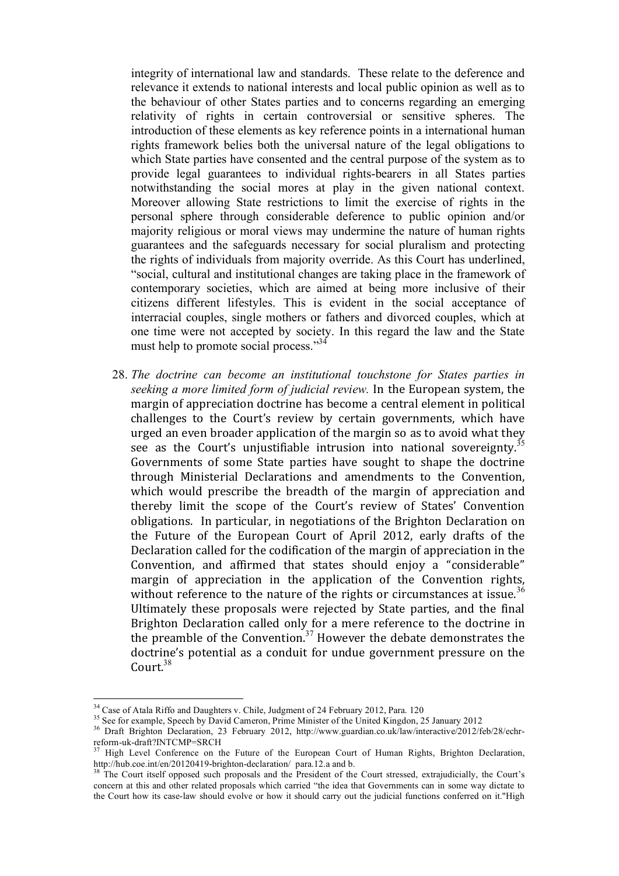integrity of international law and standards. These relate to the deference and relevance it extends to national interests and local public opinion as well as to the behaviour of other States parties and to concerns regarding an emerging relativity of rights in certain controversial or sensitive spheres. The introduction of these elements as key reference points in a international human rights framework belies both the universal nature of the legal obligations to which State parties have consented and the central purpose of the system as to provide legal guarantees to individual rights-bearers in all States parties notwithstanding the social mores at play in the given national context. Moreover allowing State restrictions to limit the exercise of rights in the personal sphere through considerable deference to public opinion and/or majority religious or moral views may undermine the nature of human rights guarantees and the safeguards necessary for social pluralism and protecting the rights of individuals from majority override. As this Court has underlined, "social, cultural and institutional changes are taking place in the framework of contemporary societies, which are aimed at being more inclusive of their citizens different lifestyles. This is evident in the social acceptance of interracial couples, single mothers or fathers and divorced couples, which at one time were not accepted by society. In this regard the law and the State must help to promote social process."34

28. *The doctrine can become an institutional touchstone for States parties in seeking a more limited form of judicial review.* In the European system, the margin of appreciation doctrine has become a central element in political challenges to the Court's review by certain governments, which have urged an even broader application of the margin so as to avoid what they see as the Court's unjustifiable intrusion into national sovereignty.<sup>35</sup> Governments of some State parties have sought to shape the doctrine through Ministerial Declarations and amendments to the Convention, which would prescribe the breadth of the margin of appreciation and thereby limit the scope of the Court's review of States' Convention obligations. In particular, in negotiations of the Brighton Declaration on the Future of the European Court of April 2012, early drafts of the Declaration called for the codification of the margin of appreciation in the Convention, and affirmed that states should enjoy a "considerable" margin of appreciation in the application of the Convention rights, without reference to the nature of the rights or circumstances at issue.<sup>36</sup> Ultimately these proposals were rejected by State parties, and the final Brighton Declaration called only for a mere reference to the doctrine in the preamble of the Convention. $37$  However the debate demonstrates the doctrine's potential as a conduit for undue government pressure on the Court.<sup>38</sup>

<sup>&</sup>lt;sup>34</sup> Case of Atala Riffo and Daughters v. Chile, Judgment of 24 February 2012, Para. 120<br><sup>35</sup> See for example, Speech by David Cameron, Prime Minister of the United Kingdon, 25 January 2012

<sup>&</sup>lt;sup>36</sup> Draft Brighton Declaration, 23 February 2012, http://www.guardian.co.uk/law/interactive/2012/feb/28/echr-<br>reform-uk-draft?INTCMP=SRCH<br> $\frac{37 \text{ Hich}}{201}$ 

High Level Conference on the Future of the European Court of Human Rights, Brighton Declaration, http://hub.coe.int/en/20120419-brighton-declaration/ para.12.a and b.<br><sup>38</sup> The Court itself opposed such proposals and the President of the Court stressed, extrajudicially, the Court's

concern at this and other related proposals which carried "the idea that Governments can in some way dictate to the Court how its case-law should evolve or how it should carry out the judicial functions conferred on it."High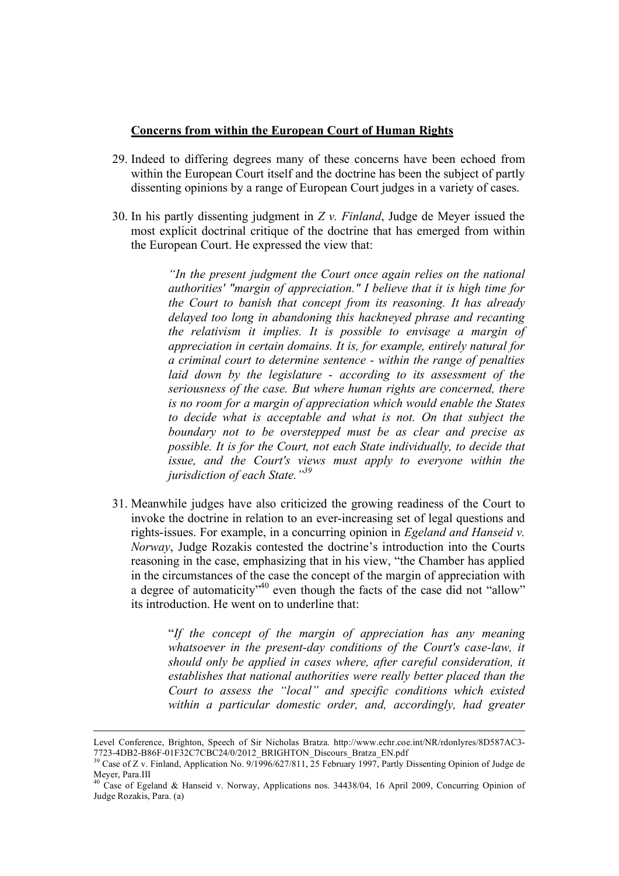#### **Concerns from within the European Court of Human Rights**

- 29. Indeed to differing degrees many of these concerns have been echoed from within the European Court itself and the doctrine has been the subject of partly dissenting opinions by a range of European Court judges in a variety of cases.
- 30. In his partly dissenting judgment in *Z v. Finland*, Judge de Meyer issued the most explicit doctrinal critique of the doctrine that has emerged from within the European Court. He expressed the view that:

*"In the present judgment the Court once again relies on the national authorities' "margin of appreciation." I believe that it is high time for the Court to banish that concept from its reasoning. It has already delayed too long in abandoning this hackneyed phrase and recanting the relativism it implies. It is possible to envisage a margin of appreciation in certain domains. It is, for example, entirely natural for a criminal court to determine sentence - within the range of penalties laid down by the legislature - according to its assessment of the seriousness of the case. But where human rights are concerned, there is no room for a margin of appreciation which would enable the States to decide what is acceptable and what is not. On that subject the boundary not to be overstepped must be as clear and precise as possible. It is for the Court, not each State individually, to decide that issue, and the Court's views must apply to everyone within the jurisdiction of each State."39*

31. Meanwhile judges have also criticized the growing readiness of the Court to invoke the doctrine in relation to an ever-increasing set of legal questions and rights-issues. For example, in a concurring opinion in *Egeland and Hanseid v. Norway*, Judge Rozakis contested the doctrine's introduction into the Courts reasoning in the case, emphasizing that in his view, "the Chamber has applied in the circumstances of the case the concept of the margin of appreciation with a degree of automaticity<sup> $,40$ </sup> even though the facts of the case did not "allow" its introduction. He went on to underline that:

> "*If the concept of the margin of appreciation has any meaning whatsoever in the present-day conditions of the Court's case-law, it should only be applied in cases where, after careful consideration, it establishes that national authorities were really better placed than the Court to assess the "local" and specific conditions which existed within a particular domestic order, and, accordingly, had greater*

<sup>!!!!!!!!!!!!!!!!!!!!!!!!!!!!!!!!!!!!!!!!!!!!!!!!!!!!!!!!!!!!!!!!!!!!!!!!!!!!!!!!!!!!!!!!!!!!!!!!!!!!!!!!!!!!!!!!!!!!!!!!!!!!!!!!!!!!!!!!!!!!!!!!!!!!!!!!!!!!!!</sup> Level Conference, Brighton, Speech of Sir Nicholas Bratza. http://www.echr.coe.int/NR/rdonlyres/8D587AC3- 7723-4DB2-B86F-01F32C7CBC24/0/2012\_BRIGHTON\_Discours\_Bratza\_EN.pdf 39 Case of Z v. Finland, Application No. 9/1996/627/811, 25 February 1997, Partly Dissenting Opinion of Judge de

Meyer, Para.III

 $40$  Case of Egeland & Hanseid v. Norway, Applications nos. 34438/04, 16 April 2009, Concurring Opinion of Judge Rozakis, Para. (a)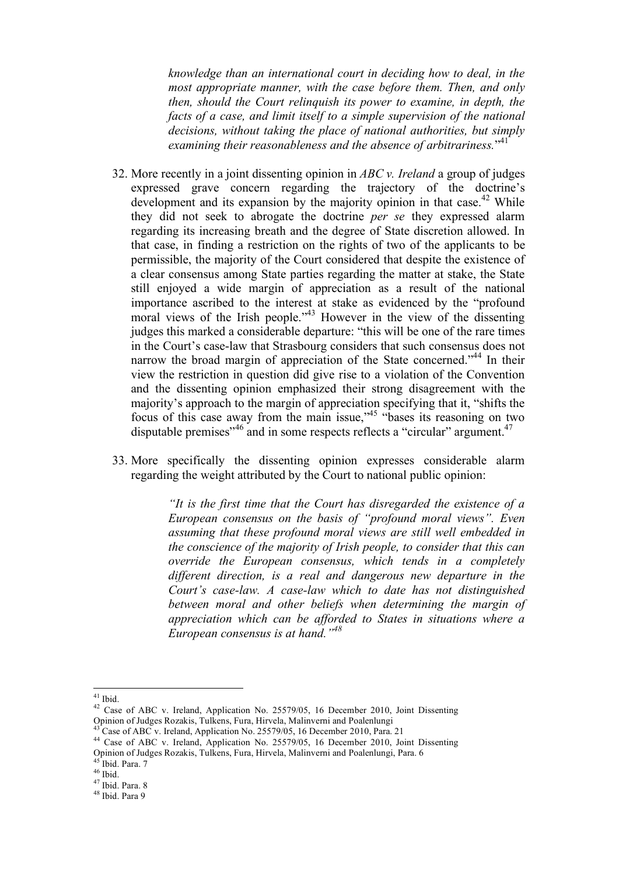*knowledge than an international court in deciding how to deal, in the most appropriate manner, with the case before them. Then, and only then, should the Court relinquish its power to examine, in depth, the*  facts of a case, and limit itself to a simple supervision of the national *decisions, without taking the place of national authorities, but simply*  examining their reasonableness and the absence of arbitrariness."<sup>41</sup>

- 32. More recently in a joint dissenting opinion in *ABC v. Ireland* a group of judges expressed grave concern regarding the trajectory of the doctrine's development and its expansion by the majority opinion in that case.<sup>42</sup> While they did not seek to abrogate the doctrine *per se* they expressed alarm regarding its increasing breath and the degree of State discretion allowed. In that case, in finding a restriction on the rights of two of the applicants to be permissible, the majority of the Court considered that despite the existence of a clear consensus among State parties regarding the matter at stake, the State still enjoyed a wide margin of appreciation as a result of the national importance ascribed to the interest at stake as evidenced by the "profound moral views of the Irish people."<sup>43</sup> However in the view of the dissenting judges this marked a considerable departure: "this will be one of the rare times in the Court's case-law that Strasbourg considers that such consensus does not narrow the broad margin of appreciation of the State concerned."<sup>44</sup> In their view the restriction in question did give rise to a violation of the Convention and the dissenting opinion emphasized their strong disagreement with the majority's approach to the margin of appreciation specifying that it, "shifts the focus of this case away from the main issue,"45 "bases its reasoning on two disputable premises<sup>146</sup> and in some respects reflects a "circular" argument.<sup>47</sup>
- 33. More specifically the dissenting opinion expresses considerable alarm regarding the weight attributed by the Court to national public opinion:

*"It is the first time that the Court has disregarded the existence of a European consensus on the basis of "profound moral views". Even assuming that these profound moral views are still well embedded in the conscience of the majority of Irish people, to consider that this can override the European consensus, which tends in a completely different direction, is a real and dangerous new departure in the Court's case-law. A case-law which to date has not distinguished between moral and other beliefs when determining the margin of appreciation which can be afforded to States in situations where a European consensus is at hand."48*

 $41$  Ibid.

<sup>&</sup>lt;sup>42</sup> Case of ABC v. Ireland, Application No. 25579/05, 16 December 2010, Joint Dissenting Opinion of Judges Rozakis, Tulkens, Fura, Hirvela, Malineerni and Poalenlungi

 $^{43}$  Case of ABC v. Ireland, Application No. 25579/05, 16 December 2010, Para. 21<br> $^{44}$  Case of ABC v. Ireland, Application No. 25579/05, 16 December 2010, Joint Dissenting Opinion of Judges Rozakis, Tulkens, Fura, Hirvela, Malinverni and Poalenlungi, Para. 6 45 Ibid. Para. 7

 $46$  Ibid.

 $47$  Ibid. Para. 8 48 Ibid. Para 9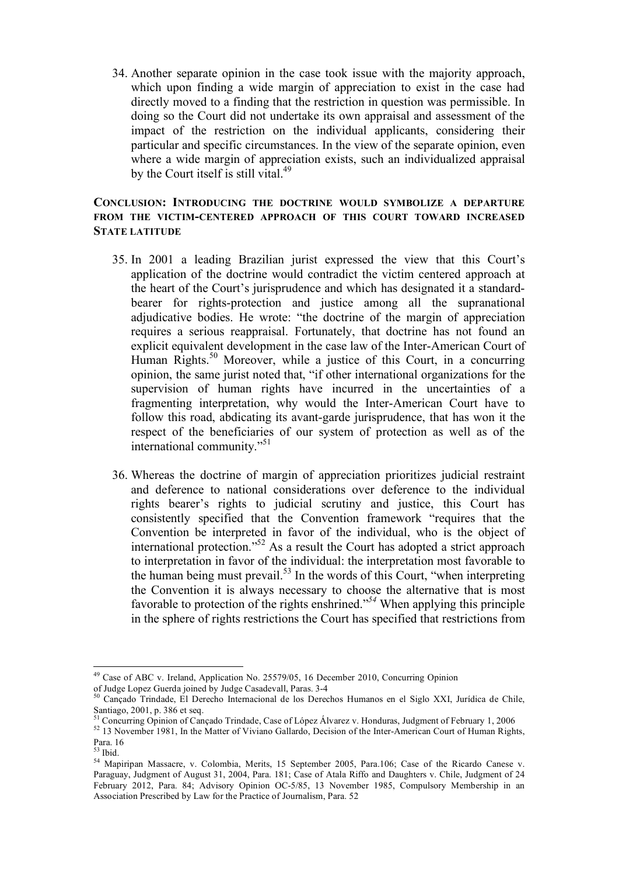34. Another separate opinion in the case took issue with the majority approach, which upon finding a wide margin of appreciation to exist in the case had directly moved to a finding that the restriction in question was permissible. In doing so the Court did not undertake its own appraisal and assessment of the impact of the restriction on the individual applicants, considering their particular and specific circumstances. In the view of the separate opinion, even where a wide margin of appreciation exists, such an individualized appraisal by the Court itself is still vital. $49$ 

### **CONCLUSION: INTRODUCING THE DOCTRINE WOULD SYMBOLIZE A DEPARTURE FROM THE VICTIM-CENTERED APPROACH OF THIS COURT TOWARD INCREASED STATE LATITUDE**

- 35. In 2001 a leading Brazilian jurist expressed the view that this Court's application of the doctrine would contradict the victim centered approach at the heart of the Court's jurisprudence and which has designated it a standardbearer for rights-protection and justice among all the supranational adjudicative bodies. He wrote: "the doctrine of the margin of appreciation requires a serious reappraisal. Fortunately, that doctrine has not found an explicit equivalent development in the case law of the Inter-American Court of Human Rights.<sup>50</sup> Moreover, while a justice of this Court, in a concurring opinion, the same jurist noted that, "if other international organizations for the supervision of human rights have incurred in the uncertainties of a fragmenting interpretation, why would the Inter-American Court have to follow this road, abdicating its avant-garde jurisprudence, that has won it the respect of the beneficiaries of our system of protection as well as of the international community."51
- 36. Whereas the doctrine of margin of appreciation prioritizes judicial restraint and deference to national considerations over deference to the individual rights bearer's rights to judicial scrutiny and justice, this Court has consistently specified that the Convention framework "requires that the Convention be interpreted in favor of the individual, who is the object of international protection."52 As a result the Court has adopted a strict approach to interpretation in favor of the individual: the interpretation most favorable to the human being must prevail.<sup>53</sup> In the words of this Court, "when interpreting the Convention it is always necessary to choose the alternative that is most favorable to protection of the rights enshrined."*<sup>54</sup>* When applying this principle in the sphere of rights restrictions the Court has specified that restrictions from

<sup>&</sup>lt;sup>49</sup> Case of ABC v. Ireland, Application No. 25579/05, 16 December 2010, Concurring Opinion

of Judge Lopez Guerda joined by Judge Casadevall, Paras. 3-4 50 Cançado Trindade, El Derecho Internacional de los Derechos Humanos en el Siglo XXI, Jurídica de Chile, Santiago, 2001, p. 386 et seq.

<sup>51</sup> Concurring Opinion of Cançado Trindade, Case of López Álvarez v. Honduras, Judgment of February 1, 2006

<sup>52 13</sup> November 1981, In the Matter of Viviano Gallardo, Decision of the Inter-American Court of Human Rights, Para. 16

 $53$  Ibid.

<sup>54</sup> Mapiripan Massacre, v. Colombia, Merits, 15 September 2005, Para.106; Case of the Ricardo Canese v. Paraguay, Judgment of August 31, 2004, Para. 181; Case of Atala Riffo and Daughters v. Chile, Judgment of 24 February 2012, Para. 84; Advisory Opinion OC-5/85, 13 November 1985, Compulsory Membership in an Association Prescribed by Law for the Practice of Journalism, Para. 52